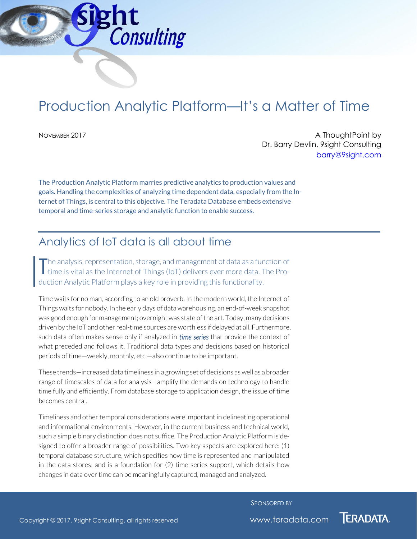

# Production Analytic Platform—It's a Matter of Time

NOVEMBER 2017 **A ThoughtPoint by A ThoughtPoint by** Dr. Barry Devlin, 9sight Consulting [barry@9sight.com](mailto:barry@9sight.com)

The Production Analytic Platform marries predictive analytics to production values and goals. Handling the complexities of analyzing time dependent data, especially from the Internet of Things, is central to this objective. The Teradata Database embeds extensive temporal and time-series storage and analytic function to enable success.

# Analytics of IoT data is all about time

he analysis, representation, storage, and management of data as a function of time is vital as the Internet of Things (IoT) delivers ever more data. The Production Analytic Platform plays a key role in providing this functionality. T

Time waits for no man, according to an old proverb. In the modern world, the Internet of Things waits for nobody. In the early days of data warehousing, an end-of-week snapshot was good enough for management; overnight was state of the art. Today, many decisions driven by the IoT and other real-time sources are worthless if delayed at all. Furthermore, such data often makes sense only if analyzed in *time series* that provide the context of what preceded and follows it. Traditional data types and decisions based on historical periods of time—weekly, monthly, etc.—also continue to be important.

These trends—increased data timeliness in a growing set of decisions as well as a broader range of timescales of data for analysis—amplify the demands on technology to handle time fully and efficiently. From database storage to application design, the issue of time becomes central.

Timeliness and other temporal considerations were important in delineating operational and informational environments. However, in the current business and technical world, such a simple binary distinction does not suffice. The Production Analytic Platform is designed to offer a broader range of possibilities. Two key aspects are explored here: (1) temporal database structure, which specifies how time is represented and manipulated in the data stores, and is a foundation for (2) time series support, which details how changes in data over time can be meaningfully captured, managed and analyzed.

SPONSORED BY

**TERADATA.**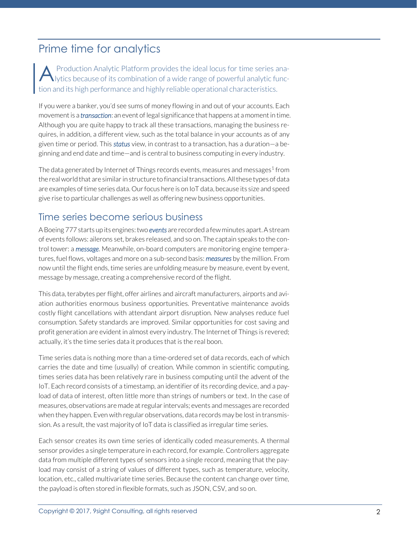## Prime time for analytics

Production Analytic Platform provides the ideal locus for time series analytics because of its combination of a wide range of powerful analytic function and its high performance and highly reliable operational characteristics. A

If you were a banker, you'd see sums of money flowing in and out of your accounts. Each movement is a *transaction*: an event of legal significance that happens at a moment in time. Although you are quite happy to track all these transactions, managing the business requires, in addition, a different view, such as the total balance in your accounts as of any given time or period. This *status* view, in contrast to a transaction, has a duration—a beginning and end date and time—and is central to business computing in every industry.

The data generated by Internet of Things records events, measures and messages<sup>1</sup> from the real world that are similar in structure to financial transactions. All these types of data are examples of time series data. Our focus here is on IoT data, because its size and speed give rise to particular challenges as well as offering new business opportunities.

#### Time series become serious business

A Boeing 777 starts up its engines: two *events* are recorded a fewminutes apart. A stream of events follows: ailerons set, brakes released, and so on. The captain speaks to the control tower: a *message*. Meanwhile, on-board computers are monitoring engine temperatures, fuel flows, voltages and more on a sub-second basis: *measures* by the million. From now until the flight ends, time series are unfolding measure by measure, event by event, message by message, creating a comprehensive record of the flight.

This data, terabytes per flight, offer airlines and aircraft manufacturers, airports and aviation authorities enormous business opportunities. Preventative maintenance avoids costly flight cancellations with attendant airport disruption. New analyses reduce fuel consumption. Safety standards are improved. Similar opportunities for cost saving and profit generation are evident in almost every industry. The Internet of Things is revered; actually, it's the time series data it produces that is the real boon.

Time series data is nothing more than a time-ordered set of data records, each of which carries the date and time (usually) of creation. While common in scientific computing, times series data has been relatively rare in business computing until the advent of the IoT. Each record consists of a timestamp, an identifier of its recording device, and a payload of data of interest, often little more than strings of numbers or text. In the case of measures, observations are made at regular intervals; events and messages are recorded when they happen. Even with regular observations, data records may be lost in transmission. As a result, the vast majority of IoT data is classified as irregular time series.

Each sensor creates its own time series of identically coded measurements. A thermal sensor provides a single temperature in each record, for example. Controllers aggregate data from multiple different types of sensors into a single record, meaning that the payload may consist of a string of values of different types, such as temperature, velocity, location, etc., called multivariate time series. Because the content can change over time, the payload is often stored in flexible formats, such as JSON, CSV, and so on.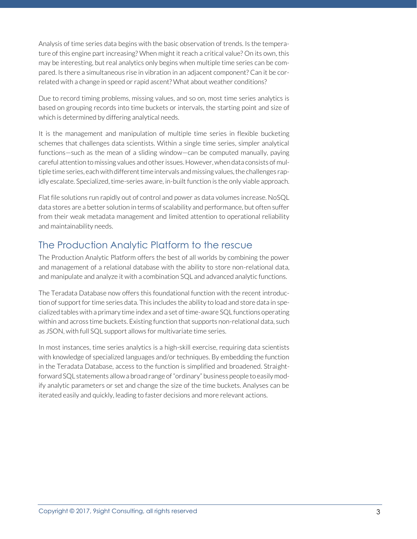Analysis of time series data begins with the basic observation of trends. Is the temperature of this engine part increasing? When might it reach a critical value? On its own, this may be interesting, but real analytics only begins when multiple time series can be compared. Is there a simultaneous rise in vibration in an adjacent component? Can it be correlated with a change in speed or rapid ascent? What about weather conditions?

Due to record timing problems, missing values, and so on, most time series analytics is based on grouping records into time buckets or intervals, the starting point and size of which is determined by differing analytical needs.

It is the management and manipulation of multiple time series in flexible bucketing schemes that challenges data scientists. Within a single time series, simpler analytical functions—such as the mean of a sliding window—can be computed manually, paying careful attention to missing values and other issues. However, when data consists of multiple time series, each with different time intervals and missing values, the challenges rapidly escalate. Specialized, time-series aware, in-built function is the only viable approach.

Flat file solutions run rapidly out of control and power as data volumes increase. NoSQL data stores are a better solution in terms of scalability and performance, but often suffer from their weak metadata management and limited attention to operational reliability and maintainability needs.

#### The Production Analytic Platform to the rescue

The Production Analytic Platform offers the best of all worlds by combining the power and management of a relational database with the ability to store non-relational data, and manipulate and analyze it with a combination SQL and advanced analytic functions.

The Teradata Database now offers this foundational function with the recent introduction of support for time series data. This includes the ability to load and store data in specialized tables with a primary time index and a set of time-aware SQL functions operating within and across time buckets. Existing function that supports non-relational data, such as JSON, with full SQL support allows for multivariate time series.

In most instances, time series analytics is a high-skill exercise, requiring data scientists with knowledge of specialized languages and/or techniques. By embedding the function in the Teradata Database, access to the function is simplified and broadened. Straightforward SQL statements allow a broad range of "ordinary" business people to easily modify analytic parameters or set and change the size of the time buckets. Analyses can be iterated easily and quickly, leading to faster decisions and more relevant actions.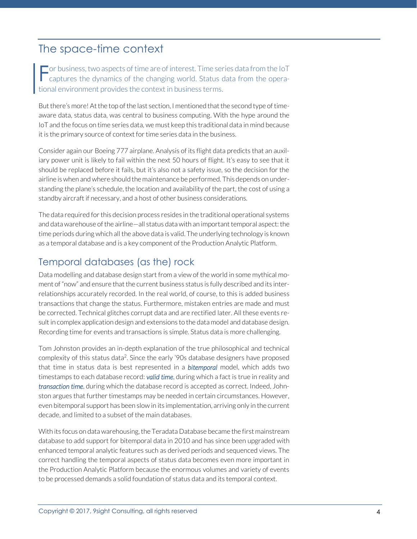## The space-time context

The business, two aspects of time are of interest. Time series data from the IoT captures the dynamics of the changing world. Status data from the operacaptures the dynamics of the changing world. Status data from the operational environment provides the context in business terms.

But there's more! At the top of the last section, I mentioned that the second type of timeaware data, status data, was central to business computing. With the hype around the IoT and the focus on time series data, we must keep this traditional data in mind because it is the primary source of context for time series data in the business.

Consider again our Boeing 777 airplane. Analysis of its flight data predicts that an auxiliary power unit is likely to fail within the next 50 hours of flight. It's easy to see that it should be replaced before it fails, but it's also not a safety issue, so the decision for the airline is when and where should the maintenance be performed. This depends on understanding the plane's schedule, the location and availability of the part, the cost of using a standby aircraft if necessary, and a host of other business considerations.

The data required for this decision process resides in the traditional operational systems and data warehouse of the airline—all status data with an important temporal aspect: the time periods during which all the above data is valid. The underlying technology is known as a temporal database and is a key component of the Production Analytic Platform.

#### Temporal databases (as the) rock

Data modelling and database design start from a view of the world in some mythical moment of "now" and ensure that the current business status is fully described and its interrelationships accurately recorded. In the real world, of course, to this is added business transactions that change the status. Furthermore, mistaken entries are made and must be corrected. Technical glitches corrupt data and are rectified later. All these events result in complex application design and extensions to the data model and database design. Recording time for events and transactions is simple. Status data is more challenging.

Tom Johnston provides an in-depth explanation of the true philosophical and technical complexity of this status data<sup>2</sup>. Since the early '90s database designers have proposed that time in status data is best represented in a *bitemporal* model, which adds two timestamps to each database record: *valid time*, during which a fact is true in reality and *transaction time*, during which the database record is accepted as correct. Indeed, Johnston argues that further timestamps may be needed in certain circumstances. However, even bitemporal support has been slow in its implementation, arriving only in the current decade, and limited to a subset of the main databases.

With its focus on data warehousing, the Teradata Database became the first mainstream database to add support for bitemporal data in 2010 and has since been upgraded with enhanced temporal analytic features such as derived periods and sequenced views. The correct handling the temporal aspects of status data becomes even more important in the Production Analytic Platform because the enormous volumes and variety of events to be processed demands a solid foundation of status data and its temporal context.